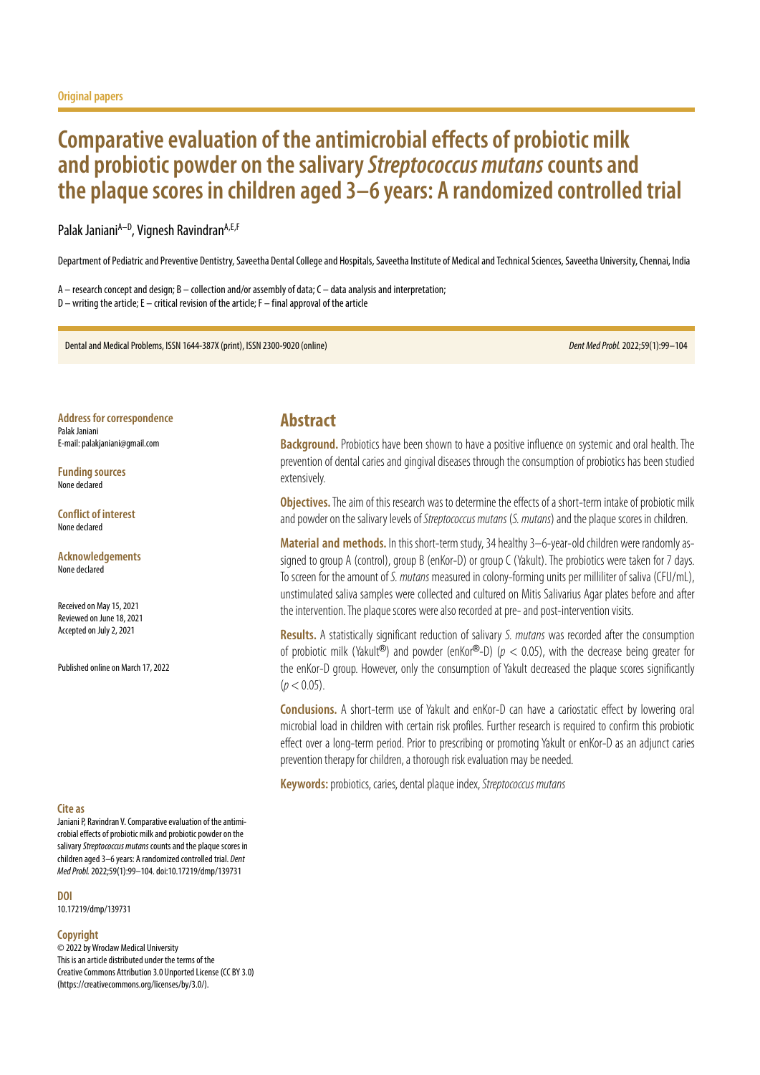# **Comparative evaluation of the antimicrobial effects of probiotic milk and probiotic powder on the salivary** *Streptococcus mutans* **counts and the plaque scores in children aged 3–6 years: A randomized controlled trial**

### Palak Janiani<sup>A–D</sup>, Vignesh Ravindran<sup>A,E,F</sup>

Department of Pediatric and Preventive Dentistry, Saveetha Dental College and Hospitals, Saveetha Institute of Medical and Technical Sciences, Saveetha University, Chennai, India

A – research concept and design; B – collection and/or assembly of data; C – data analysis and interpretation;  $D$  – writing the article; E – critical revision of the article; F – final approval of the article

Dental and Medical Problems, ISSN 1644-387X (print), ISSN 2300-9020 (online) *Dent Med Probl.* 2022;59(1):99–104

**Address for correspondence** Palak Janiani E-mail: palakjaniani@gmail.com

**Funding sources** None declared

**Conflict of interest** None declared

**Acknowledgements** None declared

Received on May 15, 2021 Reviewed on June 18, 2021 Accepted on July 2, 2021

Published online on March 17, 2022

#### **Cite as**

Janiani P, Ravindran V. Comparative evaluation of the antimicrobial effects of probiotic milk and probiotic powder on the salivary *Streptococcus mutans* counts and the plaque scores in children aged 3–6 years: A randomized controlled trial. *Dent Med Probl.* 2022;59(1):99–104. doi:10.17219/dmp/139731

**DOI** 10.17219/dmp/139731

#### **Copyright**

© 2022 by Wroclaw Medical University This is an article distributed under the terms of the Creative Commons Attribution 3.0 Unported License (CC BY 3.0) [\(https://creativecommons.org/licenses/by/3.0/\)](https://creativecommons.org/licenses/by/3.0/).

### **Abstract**

**Background.** Probiotics have been shown to have a positive influence on systemic and oral health. The prevention of dental caries and gingival diseases through the consumption of probiotics has been studied extensively.

**Objectives.** The aim of this research was to determine the effects of a short-term intake of probiotic milk and powder on the salivary levels of *Streptococcus mutans* (*S. mutans*) and the plaque scores in children.

**Material and methods.** In this short-term study, 34 healthy 3–6-year-old children were randomly assigned to group A (control), group B (enKor-D) or group C (Yakult). The probiotics were taken for 7 days. To screen for the amount of *S. mutans* measured in colony-forming units per milliliter of saliva (CFU/mL), unstimulated saliva samples were collected and cultured on Mitis Salivarius Agar plates before and after the intervention. The plaque scores were also recorded at pre- and post-intervention visits.

**Results.** A statistically significant reduction of salivary *S. mutans* was recorded after the consumption of probiotic milk (Yakult<sup>®</sup>) and powder (enKor®-D) ( $p < 0.05$ ), with the decrease being greater for the enKor-D group. However, only the consumption of Yakult decreased the plaque scores significantly  $(p < 0.05)$ .

**Conclusions.** A short-term use of Yakult and enKor-D can have a cariostatic effect by lowering oral microbial load in children with certain risk profiles. Further research is required to confirm this probiotic effect over a long-term period. Prior to prescribing or promoting Yakult or enKor-D as an adjunct caries prevention therapy for children, a thorough risk evaluation may be needed.

**Keywords:** probiotics, caries, dental plaque index, *Streptococcus mutans*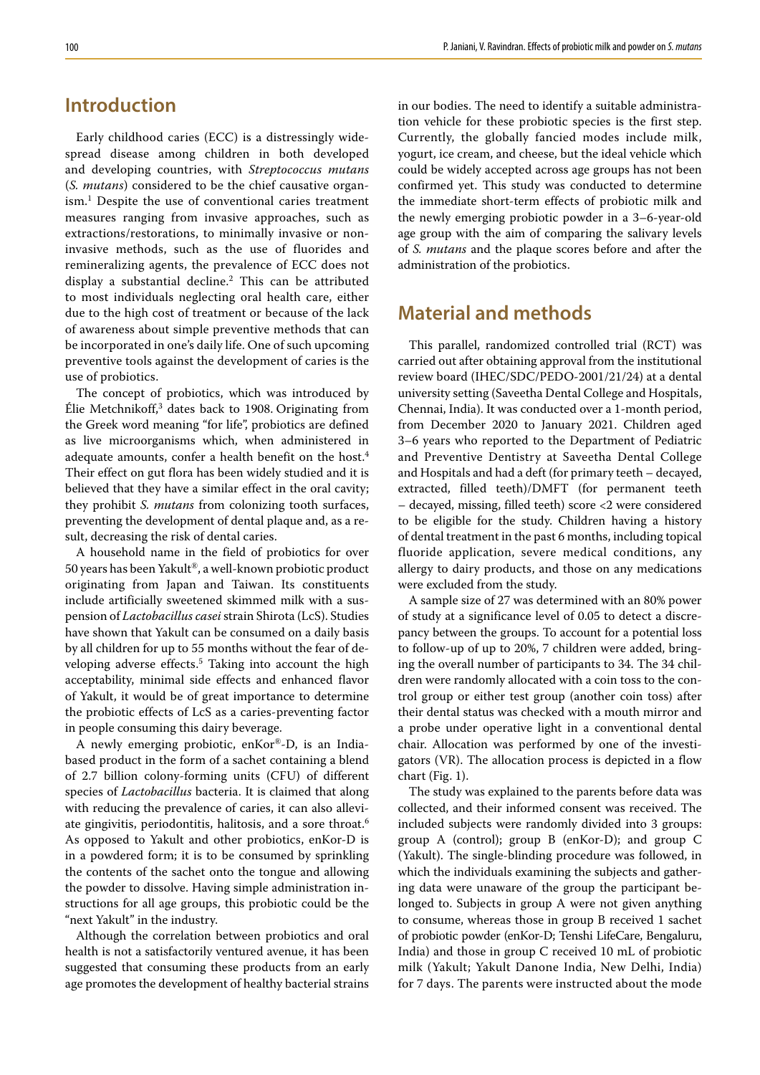# **Introduction**

Early childhood caries (ECC) is a distressingly widespread disease among children in both developed and developing countries, with *Streptococcus mutans* (*S. mutans*) considered to be the chief causative organism.<sup>1</sup> Despite the use of conventional caries treatment measures ranging from invasive approaches, such as extractions/restorations, to minimally invasive or noninvasive methods, such as the use of fluorides and remineralizing agents, the prevalence of ECC does not display a substantial decline.2 This can be attributed to most individuals neglecting oral health care, either due to the high cost of treatment or because of the lack of awareness about simple preventive methods that can be incorporated in one's daily life. One of such upcoming preventive tools against the development of caries is the use of probiotics.

The concept of probiotics, which was introduced by Élie Metchnikoff,<sup>3</sup> dates back to 1908. Originating from the Greek word meaning "for life", probiotics are defined as live microorganisms which, when administered in adequate amounts, confer a health benefit on the host.<sup>4</sup> Their effect on gut flora has been widely studied and it is believed that they have a similar effect in the oral cavity; they prohibit *S. mutans* from colonizing tooth surfaces, preventing the development of dental plaque and, as a result, decreasing the risk of dental caries.

A household name in the field of probiotics for over 50 years has been Yakult®, a well-known probiotic product originating from Japan and Taiwan. Its constituents include artificially sweetened skimmed milk with a suspension of *Lactobacillus casei* strain Shirota (LcS). Studies have shown that Yakult can be consumed on a daily basis by all children for up to 55 months without the fear of developing adverse effects.<sup>5</sup> Taking into account the high acceptability, minimal side effects and enhanced flavor of Yakult, it would be of great importance to determine the probiotic effects of LcS as a caries-preventing factor in people consuming this dairy beverage.

A newly emerging probiotic, enKor®-D, is an Indiabased product in the form of a sachet containing a blend of 2.7 billion colony-forming units (CFU) of different species of *Lactobacillus* bacteria. It is claimed that along with reducing the prevalence of caries, it can also alleviate gingivitis, periodontitis, halitosis, and a sore throat.<sup>6</sup> As opposed to Yakult and other probiotics, enKor-D is in a powdered form; it is to be consumed by sprinkling the contents of the sachet onto the tongue and allowing the powder to dissolve. Having simple administration instructions for all age groups, this probiotic could be the "next Yakult" in the industry.

Although the correlation between probiotics and oral health is not a satisfactorily ventured avenue, it has been suggested that consuming these products from an early age promotes the development of healthy bacterial strains in our bodies. The need to identify a suitable administration vehicle for these probiotic species is the first step. Currently, the globally fancied modes include milk, yogurt, ice cream, and cheese, but the ideal vehicle which could be widely accepted across age groups has not been confirmed yet. This study was conducted to determine the immediate short-term effects of probiotic milk and the newly emerging probiotic powder in a 3–6-year-old age group with the aim of comparing the salivary levels of *S. mutans* and the plaque scores before and after the administration of the probiotics.

# **Material and methods**

This parallel, randomized controlled trial (RCT) was carried out after obtaining approval from the institutional review board (IHEC/SDC/PEDO-2001/21/24) at a dental university setting (Saveetha Dental College and Hospitals, Chennai, India). It was conducted over a 1-month period, from December 2020 to January 2021. Children aged 3–6 years who reported to the Department of Pediatric and Preventive Dentistry at Saveetha Dental College and Hospitals and had a deft (for primary teeth – decayed, extracted, filled teeth)/DMFT (for permanent teeth – decayed, missing, filled teeth) score <2 were considered to be eligible for the study. Children having a history of dental treatment in the past 6 months, including topical fluoride application, severe medical conditions, any allergy to dairy products, and those on any medications were excluded from the study.

A sample size of 27 was determined with an 80% power of study at a significance level of 0.05 to detect a discrepancy between the groups. To account for a potential loss to follow-up of up to 20%, 7 children were added, bringing the overall number of participants to 34. The 34 children were randomly allocated with a coin toss to the control group or either test group (another coin toss) after their dental status was checked with a mouth mirror and a probe under operative light in a conventional dental chair. Allocation was performed by one of the investigators (VR). The allocation process is depicted in a flow chart (Fig. 1).

The study was explained to the parents before data was collected, and their informed consent was received. The included subjects were randomly divided into 3 groups: group A (control); group B (enKor-D); and group  $C$ (Yakult). The single-blinding procedure was followed, in which the individuals examining the subjects and gathering data were unaware of the group the participant belonged to. Subjects in group A were not given anything to consume, whereas those in group B received 1 sachet of probiotic powder (enKor-D; Tenshi LifeCare, Bengaluru, India) and those in group C received 10 mL of probiotic milk (Yakult; Yakult Danone India, New Delhi, India) for 7 days. The parents were instructed about the mode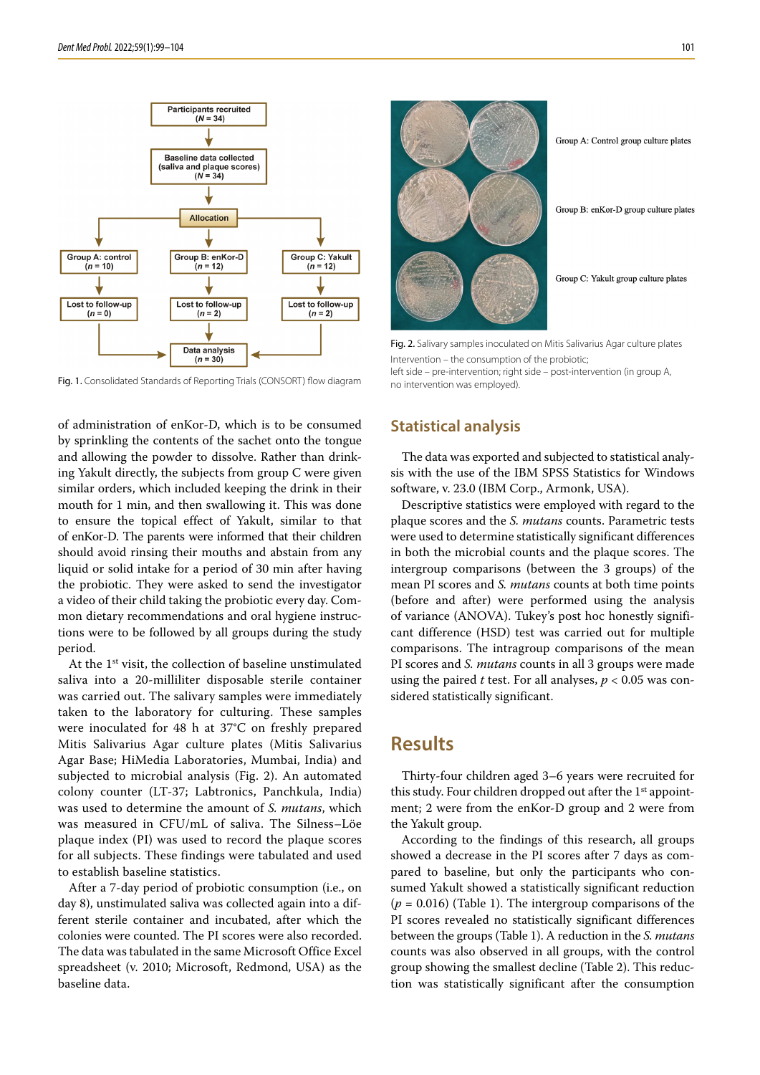

Fig. 1. Consolidated Standards of Reporting Trials (CONSORT) flow diagram

of administration of enKor-D, which is to be consumed by sprinkling the contents of the sachet onto the tongue and allowing the powder to dissolve. Rather than drinking Yakult directly, the subjects from group C were given similar orders, which included keeping the drink in their mouth for 1 min, and then swallowing it. This was done to ensure the topical effect of Yakult, similar to that of enKor-D. The parents were informed that their children should avoid rinsing their mouths and abstain from any liquid or solid intake for a period of 30 min after having the probiotic. They were asked to send the investigator a video of their child taking the probiotic every day. Common dietary recommendations and oral hygiene instructions were to be followed by all groups during the study period.

At the 1st visit, the collection of baseline unstimulated saliva into a 20-milliliter disposable sterile container was carried out. The salivary samples were immediately taken to the laboratory for culturing. These samples were inoculated for 48 h at 37°C on freshly prepared Mitis Salivarius Agar culture plates (Mitis Salivarius Agar Base; HiMedia Laboratories, Mumbai, India) and subjected to microbial analysis (Fig. 2). An automated colony counter (LT-37; Labtronics, Panchkula, India) was used to determine the amount of *S. mutans*, which was measured in CFU/mL of saliva. The Silness–Löe plaque index (PI) was used to record the plaque scores for all subjects. These findings were tabulated and used to establish baseline statistics.

After a 7-day period of probiotic consumption (i.e., on day 8), unstimulated saliva was collected again into a different sterile container and incubated, after which the colonies were counted. The PI scores were also recorded. The data was tabulated in the same Microsoft Office Excel spreadsheet (v. 2010; Microsoft, Redmond, USA) as the baseline data.



Group A: Control group culture plates

Group B: enKor-D group culture plates

Group C: Yakult group culture plates

Fig. 2. Salivary samples inoculated on Mitis Salivarius Agar culture plates Intervention – the consumption of the probiotic;

left side – pre-intervention; right side – post-intervention (in group A, no intervention was employed).

### **Statistical analysis**

The data was exported and subjected to statistical analysis with the use of the IBM SPSS Statistics for Windows software, v. 23.0 (IBM Corp., Armonk, USA).

Descriptive statistics were employed with regard to the plaque scores and the *S. mutans* counts. Parametric tests were used to determine statistically significant differences in both the microbial counts and the plaque scores. The intergroup comparisons (between the 3 groups) of the mean PI scores and *S. mutans* counts at both time points (before and after) were performed using the analysis of variance (ANOVA). Tukey's post hoc honestly significant difference (HSD) test was carried out for multiple comparisons. The intragroup comparisons of the mean PI scores and *S. mutans* counts in all 3 groups were made using the paired *t* test. For all analyses, *p* < 0.05 was considered statistically significant.

### **Results**

Thirty-four children aged 3–6 years were recruited for this study. Four children dropped out after the 1<sup>st</sup> appointment; 2 were from the enKor-D group and 2 were from the Yakult group.

According to the findings of this research, all groups showed a decrease in the PI scores after 7 days as compared to baseline, but only the participants who consumed Yakult showed a statistically significant reduction  $(p = 0.016)$  (Table 1). The intergroup comparisons of the PI scores revealed no statistically significant differences between the groups (Table 1). A reduction in the *S. mutans* counts was also observed in all groups, with the control group showing the smallest decline (Table 2). This reduction was statistically significant after the consumption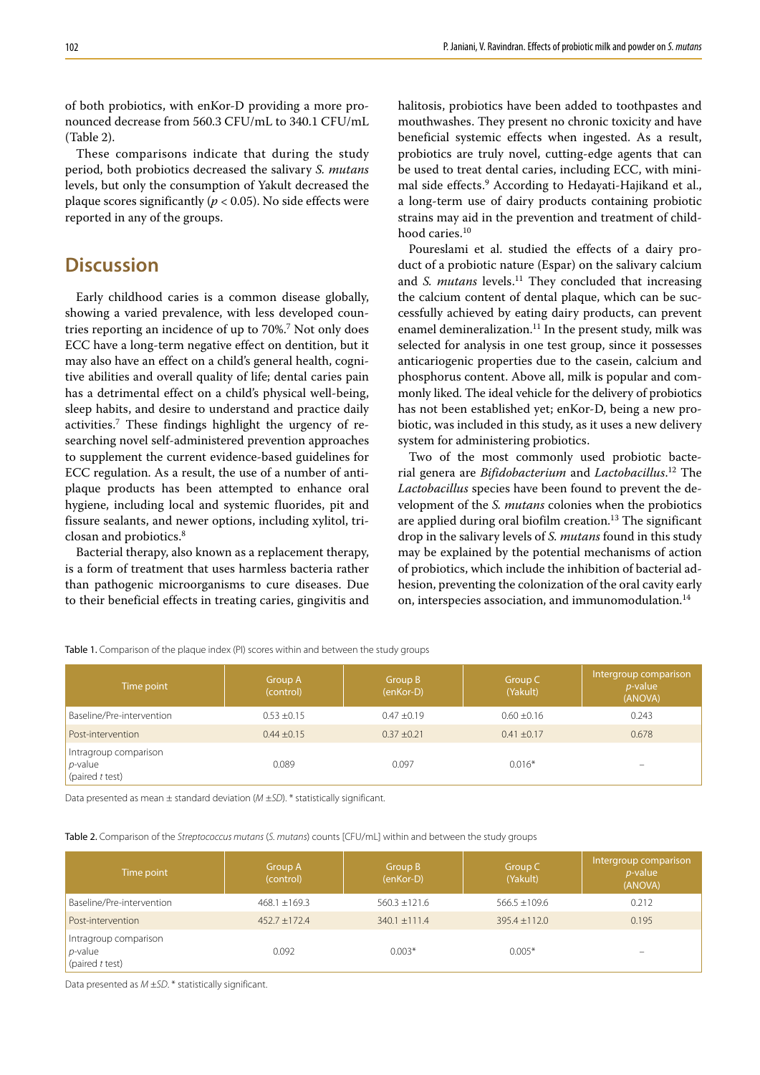of both probiotics, with enKor-D providing a more pronounced decrease from 560.3 CFU/mL to 340.1 CFU/mL (Table 2).

These comparisons indicate that during the study period, both probiotics decreased the salivary *S. mutans* levels, but only the consumption of Yakult decreased the plaque scores significantly ( $p < 0.05$ ). No side effects were reported in any of the groups.

### **Discussion**

Early childhood caries is a common disease globally, showing a varied prevalence, with less developed countries reporting an incidence of up to 70%.<sup>7</sup> Not only does ECC have a long-term negative effect on dentition, but it may also have an effect on a child's general health, cognitive abilities and overall quality of life; dental caries pain has a detrimental effect on a child's physical well-being, sleep habits, and desire to understand and practice daily activities.<sup>7</sup> These findings highlight the urgency of researching novel self-administered prevention approaches to supplement the current evidence-based guidelines for ECC regulation. As a result, the use of a number of antiplaque products has been attempted to enhance oral hygiene, including local and systemic fluorides, pit and fissure sealants, and newer options, including xylitol, triclosan and probiotics.8

Bacterial therapy, also known as a replacement therapy, is a form of treatment that uses harmless bacteria rather than pathogenic microorganisms to cure diseases. Due to their beneficial effects in treating caries, gingivitis and halitosis, probiotics have been added to toothpastes and mouthwashes. They present no chronic toxicity and have beneficial systemic effects when ingested. As a result, probiotics are truly novel, cutting-edge agents that can be used to treat dental caries, including ECC, with minimal side effects.<sup>9</sup> According to Hedayati-Hajikand et al., a long-term use of dairy products containing probiotic strains may aid in the prevention and treatment of childhood caries.<sup>10</sup>

Poureslami et al. studied the effects of a dairy product of a probiotic nature (Espar) on the salivary calcium and *S. mutans* levels.<sup>11</sup> They concluded that increasing the calcium content of dental plaque, which can be successfully achieved by eating dairy products, can prevent enamel demineralization.<sup>11</sup> In the present study, milk was selected for analysis in one test group, since it possesses anticariogenic properties due to the casein, calcium and phosphorus content. Above all, milk is popular and commonly liked. The ideal vehicle for the delivery of probiotics has not been established yet; enKor-D, being a new probiotic, was included in this study, as it uses a new delivery system for administering probiotics.

Two of the most commonly used probiotic bacterial genera are *Bifidobacterium* and *Lactobacillus*. 12 The *Lactobacillus* species have been found to prevent the development of the *S. mutans* colonies when the probiotics are applied during oral biofilm creation.<sup>13</sup> The significant drop in the salivary levels of *S. mutans* found in this study may be explained by the potential mechanisms of action of probiotics, which include the inhibition of bacterial adhesion, preventing the colonization of the oral cavity early on, interspecies association, and immunomodulation.14

| Time point                                             | Group A<br>(control) | Group B<br>(enKor-D) | Group C<br>(Yakult) | Intergroup comparison<br>$p$ -value<br>(ANOVA) |
|--------------------------------------------------------|----------------------|----------------------|---------------------|------------------------------------------------|
| Baseline/Pre-intervention                              | $0.53 + 0.15$        | $0.47 + 0.19$        | $0.60 \pm 0.16$     | 0.243                                          |
| Post-intervention                                      | $0.44 \pm 0.15$      | $0.37 + 0.21$        | $0.41 \pm 0.17$     | 0.678                                          |
| Intragroup comparison<br>$p$ -value<br>(paired t test) | 0.089                | 0.097                | $0.016*$            | $\overline{\phantom{0}}$                       |

Table 1. Comparison of the plaque index (PI) scores within and between the study groups

Data presented as mean ± standard deviation (*M* ±*SD*). \* statistically significant.

Table 2. Comparison of the *Streptococcus mutans* (*S. mutans*) counts [CFU/mL] within and between the study groups

| Time point                                             | Group A<br>(control) | Group B<br>(enKor-D) | Group C<br>(Yakult) | Intergroup comparison<br>$p$ -value<br>(ANOVA) |
|--------------------------------------------------------|----------------------|----------------------|---------------------|------------------------------------------------|
| Baseline/Pre-intervention                              | $468.1 \pm 169.3$    | $560.3 + 121.6$      | $566.5 + 109.6$     | 0.212                                          |
| Post-intervention                                      | $452.7 + 172.4$      | $340.1 + 111.4$      | $395.4 \pm 112.0$   | 0.195                                          |
| Intragroup comparison<br>$p$ -value<br>(paired t test) | 0.092                | $0.003*$             | $0.005*$            |                                                |

Data presented as *M* ±*SD*. \* statistically significant.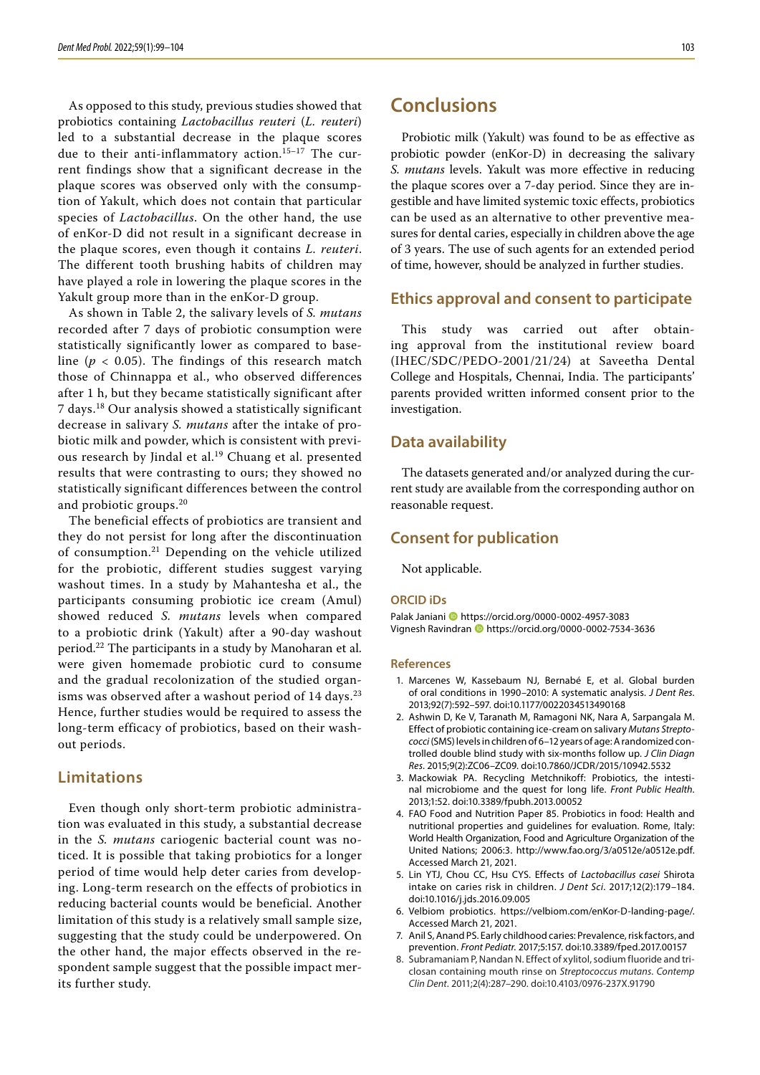As opposed to this study, previous studies showed that probiotics containing *Lactobacillus reuteri* (*L. reuteri*) led to a substantial decrease in the plaque scores due to their anti-inflammatory action.15–17 The current findings show that a significant decrease in the plaque scores was observed only with the consumption of Yakult, which does not contain that particular species of *Lactobacillus*. On the other hand, the use of enKor-D did not result in a significant decrease in the plaque scores, even though it contains *L. reuteri*. The different tooth brushing habits of children may have played a role in lowering the plaque scores in the Yakult group more than in the enKor-D group.

As shown in Table 2, the salivary levels of *S. mutans* recorded after 7 days of probiotic consumption were statistically significantly lower as compared to baseline ( $p < 0.05$ ). The findings of this research match those of Chinnappa et al., who observed differences after 1 h, but they became statistically significant after 7 days.18 Our analysis showed a statistically significant decrease in salivary *S. mutans* after the intake of probiotic milk and powder, which is consistent with previous research by Jindal et al.<sup>19</sup> Chuang et al. presented results that were contrasting to ours; they showed no statistically significant differences between the control and probiotic groups.<sup>20</sup>

The beneficial effects of probiotics are transient and they do not persist for long after the discontinuation of consumption.<sup>21</sup> Depending on the vehicle utilized for the probiotic, different studies suggest varying washout times. In a study by Mahantesha et al., the participants consuming probiotic ice cream (Amul) showed reduced *S. mutans* levels when compared to a probiotic drink (Yakult) after a 90-day washout period.22 The participants in a study by Manoharan et al. were given homemade probiotic curd to consume and the gradual recolonization of the studied organisms was observed after a washout period of 14 days.<sup>23</sup> Hence, further studies would be required to assess the long-term efficacy of probiotics, based on their washout periods.

#### **Limitations**

Even though only short-term probiotic administration was evaluated in this study, a substantial decrease in the *S. mutans* cariogenic bacterial count was noticed. It is possible that taking probiotics for a longer period of time would help deter caries from developing. Long-term research on the effects of probiotics in reducing bacterial counts would be beneficial. Another limitation of this study is a relatively small sample size, suggesting that the study could be underpowered. On the other hand, the major effects observed in the respondent sample suggest that the possible impact merits further study.

### **Conclusions**

Probiotic milk (Yakult) was found to be as effective as probiotic powder (enKor-D) in decreasing the salivary *S. mutans* levels. Yakult was more effective in reducing the plaque scores over a 7-day period. Since they are ingestible and have limited systemic toxic effects, probiotics can be used as an alternative to other preventive measures for dental caries, especially in children above the age of 3 years. The use of such agents for an extended period of time, however, should be analyzed in further studies.

### **Ethics approval and consent to participate**

This study was carried out after obtaining approval from the institutional review board (IHEC/SDC/PEDO-2001/21/24) at Saveetha Dental College and Hospitals, Chennai, India. The participants' parents provided written informed consent prior to the investigation.

#### **Data availability**

The datasets generated and/or analyzed during the current study are available from the corresponding author on reasonable request.

### **Consent for publication**

Not applicable.

#### **ORCID iDs**

Palak Janiani **b** https://orcid.org/0000-0002-4957-3083 Vignesh Ravindran **I** https://orcid.org/0000-0002-7534-3636

#### **References**

- 1. Marcenes W, Kassebaum NJ, Bernabé E, et al. Global burden of oral conditions in 1990–2010: A systematic analysis. *J Dent Res*. 2013;92(7):592–597. doi:10.1177/0022034513490168
- 2. Ashwin D, Ke V, Taranath M, Ramagoni NK, Nara A, Sarpangala M. Effect of probiotic containing ice-cream on salivary *Mutans Streptococci* (SMS) levels in children of 6–12 years of age: A randomized con‑ trolled double blind study with six-months follow up. *J Clin Diagn Res*. 2015;9(2):ZC06–ZC09. doi:10.7860/JCDR/2015/10942.5532
- 3. Mackowiak PA. Recycling Metchnikoff: Probiotics, the intestinal microbiome and the quest for long life. *Front Public Health*. 2013;1:52. doi:10.3389/fpubh.2013.00052
- 4. FAO Food and Nutrition Paper 85. Probiotics in food: Health and nutritional properties and guidelines for evaluation. Rome, Italy: World Health Organization, Food and Agriculture Organization of the United Nations; 2006:3. http://www.fao.org/3/a0512e/a0512e.pdf. Accessed March 21, 2021.
- 5. Lin YTJ, Chou CC, Hsu CYS. Effects of *Lactobacillus casei* Shirota intake on caries risk in children. *J Dent Sci*. 2017;12(2):179–184. doi:10.1016/j.jds.2016.09.005
- 6. Velbiom probiotics. https://velbiom.com/enKor‑D-landing-page/. Accessed March 21, 2021.
- 7. Anil S, Anand PS. Early childhood caries: Prevalence, risk factors, and prevention. *Front Pediatr*. 2017;5:157. doi:10.3389/fped.2017.00157
- 8. Subramaniam P, Nandan N. Effect of xylitol, sodium fluoride and triclosan containing mouth rinse on *Streptococcus mutans*. *Contemp Clin Dent*. 2011;2(4):287–290. doi:10.4103/0976-237X.91790